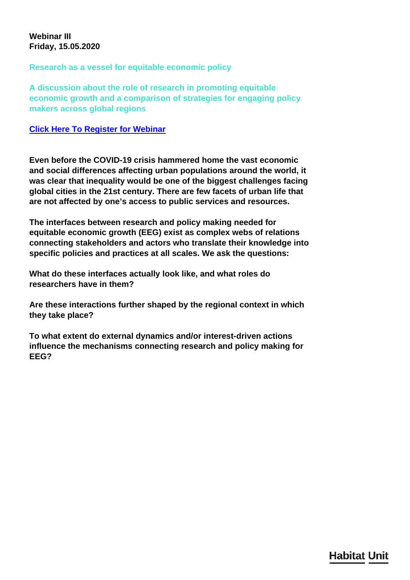#### **Webinar III Friday, 15.05.2020**

**Research as a vessel for equitable economic policy**

**A discussion about the role of research in promoting equitable economic growth and a comparison of strategies for engaging policy makers across global regions**

#### **[Click Here To Register for Webinar](https://tu-berlin.zoom.us/webinar/register/WN_VSURNo4JQvqdJjUjztM5sA)**

**Even before the COVID-19 crisis hammered home the vast economic and social differences affecting urban populations around the world, it was clear that inequality would be one of the biggest challenges facing global cities in the 21st century. There are few facets of urban life that are not affected by one's access to public services and resources.**

**The interfaces between research and policy making needed for equitable economic growth (EEG) exist as complex webs of relations connecting stakeholders and actors who translate their knowledge into specific policies and practices at all scales. We ask the questions:**

**What do these interfaces actually look like, and what roles do researchers have in them?**

**Are these interactions further shaped by the regional context in which they take place?**

**To what extent do external dynamics and/or interest-driven actions influence the mechanisms connecting research and policy making for EEG?**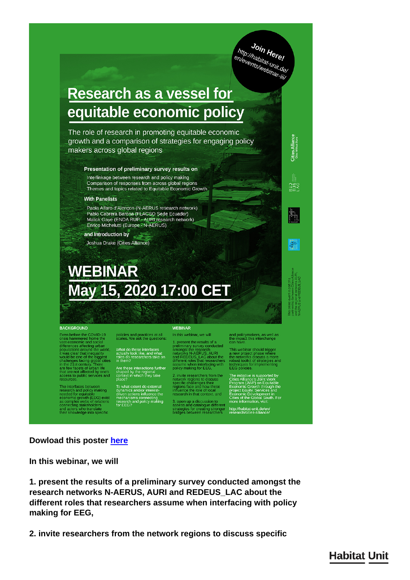

**2000** 

Ė.

**SAN** 

# **Research as a vessel for** equitable economic policy

The role of research in promoting equitable economic growth and a comparison of strategies for engaging policy makers across global regions

- Presentation of preliminary survey results on
- Interlinkage between research and policy making Comparison of responses from across global regions Themes and topics related to Equitable Economic Growth

#### **With Panelists**

Paola Alfaro d'Alençon (N-AERUS research network) Pablo Cabrera Barona (FLACSO Sede Ecuador)<br>Malick Gaye (ENDA RUP - AURI research network) Enrico Michelutti (Europe - N-AERUS)

and Introduction by

Joshua Drake (Cities Alliance)

# **WEBINAR** May 15, 2020 17:00 CET

#### **BACKGROUND**

**Exercise to COVID-19**<br>
Even before the COVID-19<br>
crisis hammered home the<br>
vast economic and social<br>
differences affecting urban<br>
populations around the world,<br>
thus clear that inequality<br>
would be one of the biggest<br>
cha

terfaces between<br>the and policy making<br>id for equitable<br>mic growth (EEG) exist<br>priex webs of relations<br>cting stakeholders<br>cons who translate<br>manufacions who translate

**WEBINAR** 

In this webinar, we will

1. present the results of a<br>preliminary survey conducted<br>amongst the research<br>networks N-AERUS, AURI<br>and REDEUS LAC about the<br>different roles that researchers<br>assume when interfacing with<br>policy making for EEG,

invite researchers from the<br>etwork regions to discuss<br>pecific challenges their<br>egions face and how these<br>filuence the role of local

at context, and

policies and practices at a<br>scales. We ask the question What do these interfaces<br>actually look like, and what<br>roles do researchers take<br>in them?

interactions further

# nat extent do external<br>mics and/or interest-<br>n actions influence the<br>anisms connecting<br>rch and policy making

en up a discussion to<br>s and catalogue different<br>gies for creating stronger<br>es between researchers

webinar should thgg<br>w project phase when<br>etworks discuss a m<br>st toolkit of strategies

http://habitat-unit.de/en/<br>research/cities-alliance/

Dowload this poster here

In this webinar, we will

1. present the results of a preliminary survey conducted amongst the research networks N-AERUS, AURI and REDEUS LAC about the different roles that researchers assume when interfacing with policy making for EEG,

2. invite researchers from the network regions to discuss specific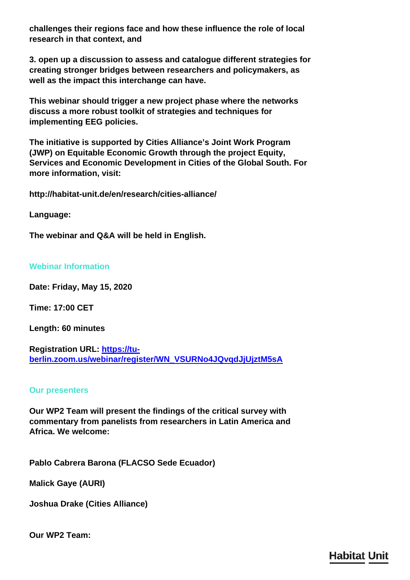**challenges their regions face and how these influence the role of local research in that context, and**

**3. open up a discussion to assess and catalogue different strategies for creating stronger bridges between researchers and policymakers, as well as the impact this interchange can have.**

**This webinar should trigger a new project phase where the networks discuss a more robust toolkit of strategies and techniques for implementing EEG policies.**

**The initiative is supported by Cities Alliance's Joint Work Program (JWP) on Equitable Economic Growth through the project Equity, Services and Economic Development in Cities of the Global South. For more information, visit:**

**http://habitat-unit.de/en/research/cities-alliance/**

**Language:**

**The webinar and Q&A will be held in English.**

#### **Webinar Information**

**Date: Friday, May 15, 2020**

**Time: 17:00 CET**

**Length: 60 minutes**

**Registration URL: [https://tu](https://tu-berlin.zoom.us/webinar/register/WN_VSURNo4JQvqdJjUjztM5sA)[berlin.zoom.us/webinar/register/WN\\_VSURNo4JQvqdJjUjztM5sA](https://tu-berlin.zoom.us/webinar/register/WN_VSURNo4JQvqdJjUjztM5sA)**

#### **Our presenters**

**Our WP2 Team will present the findings of the critical survey with commentary from panelists from researchers in Latin America and Africa. We welcome:**

**Pablo Cabrera Barona (FLACSO Sede Ecuador)**

**Malick Gaye (AURI)**

**Joshua Drake (Cities Alliance)**

**Our WP2 Team:**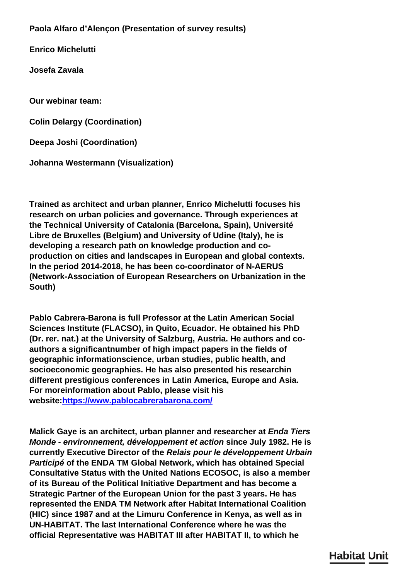**Paola Alfaro d'Alençon (Presentation of survey results)**

**Enrico Michelutti**

**Josefa Zavala**

**Our webinar team:**

**Colin Delargy (Coordination)**

**Deepa Joshi (Coordination)**

**Johanna Westermann (Visualization)**

**Trained as architect and urban planner, Enrico Michelutti focuses his research on urban policies and governance. Through experiences at the Technical University of Catalonia (Barcelona, Spain), Université Libre de Bruxelles (Belgium) and University of Udine (Italy), he is developing a research path on knowledge production and coproduction on cities and landscapes in European and global contexts. In the period 2014-2018, he has been co-coordinator of N-AERUS (Network-Association of European Researchers on Urbanization in the South)**

**Pablo Cabrera-Barona is full Professor at the Latin American Social Sciences Institute (FLACSO), in Quito, Ecuador. He obtained his PhD (Dr. rer. nat.) at the University of Salzburg, Austria. He authors and coauthors a significantnumber of high impact papers in the fields of geographic informationscience, urban studies, public health, and socioeconomic geographies. He has also presented his researchin different prestigious conferences in Latin America, Europe and Asia. For moreinformation about Pablo, please visit his website:[https://www.pablocabrerabarona.com/](http://quarantine.tu-berlin.de:32224/?dmVyPTEuMDAxJiYwODNmMThlMTQxODhjMWE3Mz01RUI5QTYwQV8zMDcxNV80Mzk5XzEmJmYzZGRjYjY3ZWUwYjQyZT0xMjMyJiZ1cmw9aHR0cHMlM0ElMkYlMkZ3d3clMkVwYWJsb2NhYnJlcmFiYXJvbmElMkVjb20lMkY=)**

**Malick Gaye is an architect, urban planner and researcher at** *Enda Tiers Monde - environnement, développement et action* **since July 1982. He is currently Executive Director of the** *Relais pour le développement Urbain Participé* **of the ENDA TM Global Network, which has obtained Special Consultative Status with the United Nations ECOSOC, is also a member of its Bureau of the Political Initiative Department and has become a Strategic Partner of the European Union for the past 3 years. He has represented the ENDA TM Network after Habitat International Coalition (HIC) since 1987 and at the Limuru Conference in Kenya, as well as in UN-HABITAT. The last International Conference where he was the official Representative was HABITAT III after HABITAT II, to which he**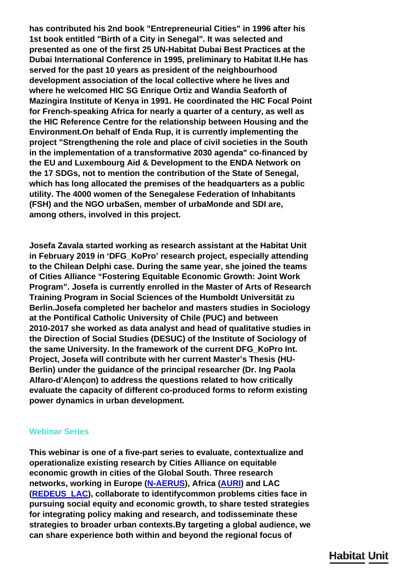**has contributed his 2nd book "Entrepreneurial Cities" in 1996 after his 1st book entitled "Birth of a City in Senegal". It was selected and presented as one of the first 25 UN-Habitat Dubai Best Practices at the Dubai International Conference in 1995, preliminary to Habitat II.He has served for the past 10 years as president of the neighbourhood development association of the local collective where he lives and where he welcomed HIC SG Enrique Ortiz and Wandia Seaforth of Mazingira Institute of Kenya in 1991. He coordinated the HIC Focal Point for French-speaking Africa for nearly a quarter of a century, as well as the HIC Reference Centre for the relationship between Housing and the Environment.On behalf of Enda Rup, it is currently implementing the project "Strengthening the role and place of civil societies in the South in the implementation of a transformative 2030 agenda" co-financed by the EU and Luxembourg Aid & Development to the ENDA Network on the 17 SDGs, not to mention the contribution of the State of Senegal, which has long allocated the premises of the headquarters as a public utility. The 4000 women of the Senegalese Federation of Inhabitants (FSH) and the NGO urbaSen, member of urbaMonde and SDI are, among others, involved in this project.**

**Josefa Zavala started working as research assistant at the Habitat Unit in February 2019 in 'DFG\_KoPro' research project, especially attending to the Chilean Delphi case. During the same year, she joined the teams of Cities Alliance "Fostering Equitable Economic Growth: Joint Work Program". Josefa is currently enrolled in the Master of Arts of Research Training Program in Social Sciences of the Humboldt Universität zu Berlin.Josefa completed her bachelor and masters studies in Sociology at the Pontifical Catholic University of Chile (PUC) and between 2010-2017 she worked as data analyst and head of qualitative studies in the Direction of Social Studies (DESUC) of the Institute of Sociology of the same University. In the framework of the current DFG\_KoPro Int. Project, Josefa will contribute with her current Master's Thesis (HU-Berlin) under the guidance of the principal researcher (Dr. Ing Paola Alfaro-d'Alençon) to address the questions related to how critically evaluate the capacity of different co-produced forms to reform existing power dynamics in urban development.**

#### **Webinar Series**

**This webinar is one of a five-part series to evaluate, contextualize and operationalize existing research by Cities Alliance on equitable economic growth in cities of the Global South. Three research networks, working in Europe ([N-AERUS\)](http://n-aerus.net/wp/?page_id=151), Africa ([AURI\)](https://www.urbanafrica.net/auri/) and LAC ([REDEUS\\_LAC\)](https://redeuslac.org/), collaborate to identifycommon problems cities face in pursuing social equity and economic growth, to share tested strategies for integrating policy making and research, and todisseminate these strategies to broader urban contexts.By targeting a global audience, we can share experience both within and beyond the regional focus of**